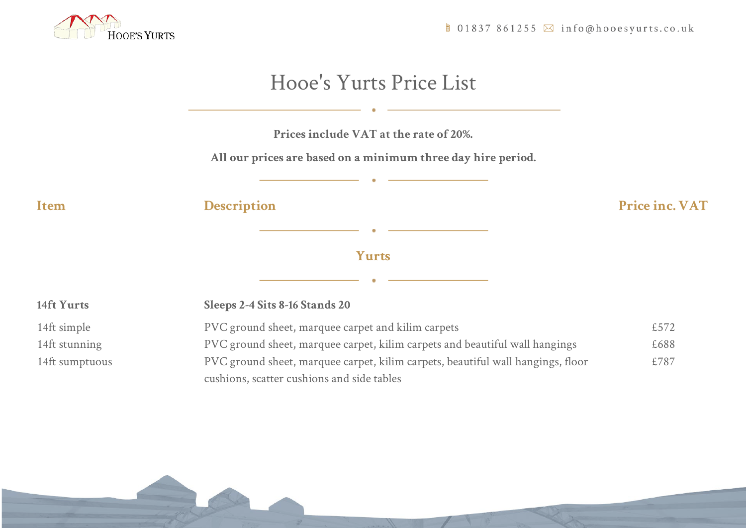

 $\Box$  01837 861255  $\boxtimes$  info@hooesyurts.co.uk

|                | Prices include VAT at the rate of 20%.<br>All our prices are based on a minimum three day hire period.                        |                |
|----------------|-------------------------------------------------------------------------------------------------------------------------------|----------------|
| Item           | <b>Description</b>                                                                                                            | Price inc. VAT |
|                | Yurts                                                                                                                         |                |
| 14ft Yurts     | Sleeps 2-4 Sits 8-16 Stands 20                                                                                                |                |
| 14ft simple    | PVC ground sheet, marquee carpet and kilim carpets                                                                            | £572           |
| 14ft stunning  | PVC ground sheet, marquee carpet, kilim carpets and beautiful wall hangings                                                   | £688           |
| 14ft sumptuous | PVC ground sheet, marquee carpet, kilim carpets, beautiful wall hangings, floor<br>cushions, scatter cushions and side tables | £787           |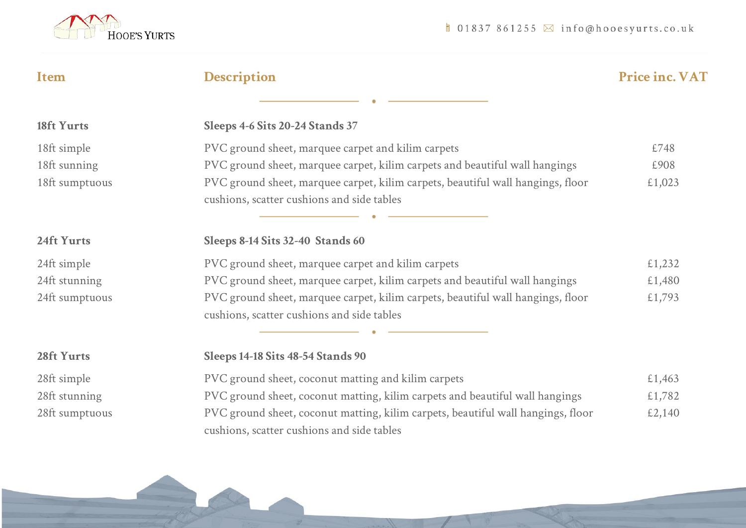

| Item           | <b>Description</b>                                                                                                             | <b>Price inc. VAT</b> |
|----------------|--------------------------------------------------------------------------------------------------------------------------------|-----------------------|
|                |                                                                                                                                |                       |
| 18ft Yurts     | Sleeps 4-6 Sits 20-24 Stands 37                                                                                                |                       |
| 18ft simple    | PVC ground sheet, marquee carpet and kilim carpets                                                                             | £748                  |
| 18ft sunning   | PVC ground sheet, marquee carpet, kilim carpets and beautiful wall hangings                                                    | £908                  |
| 18ft sumptuous | PVC ground sheet, marquee carpet, kilim carpets, beautiful wall hangings, floor<br>cushions, scatter cushions and side tables  | £1,023                |
|                |                                                                                                                                |                       |
| 24ft Yurts     | Sleeps 8-14 Sits 32-40 Stands 60                                                                                               |                       |
| 24ft simple    | PVC ground sheet, marquee carpet and kilim carpets                                                                             | £1,232                |
| 24ft stunning  | PVC ground sheet, marquee carpet, kilim carpets and beautiful wall hangings                                                    | £1,480                |
| 24ft sumptuous | PVC ground sheet, marquee carpet, kilim carpets, beautiful wall hangings, floor<br>cushions, scatter cushions and side tables  | £1,793                |
|                |                                                                                                                                |                       |
| 28ft Yurts     | Sleeps 14-18 Sits 48-54 Stands 90                                                                                              |                       |
| 28ft simple    | PVC ground sheet, coconut matting and kilim carpets                                                                            | £1,463                |
| 28ft stunning  | PVC ground sheet, coconut matting, kilim carpets and beautiful wall hangings                                                   | £1,782                |
| 28ft sumptuous | PVC ground sheet, coconut matting, kilim carpets, beautiful wall hangings, floor<br>cushions, scatter cushions and side tables | £2,140                |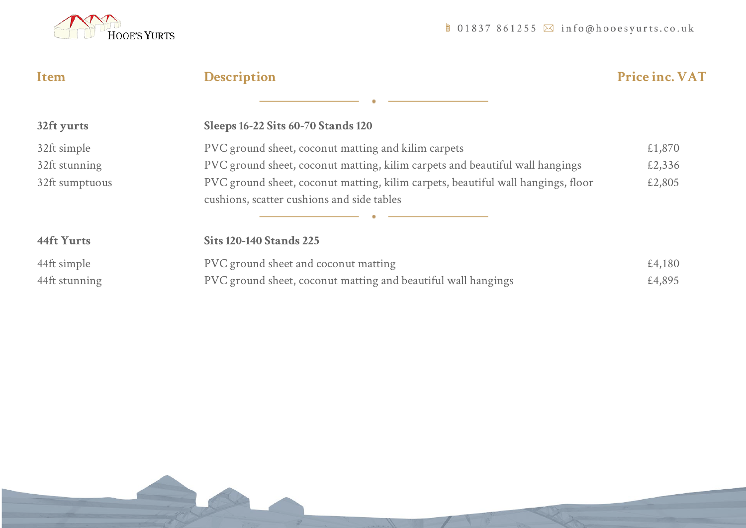

| <b>Item</b>    | <b>Description</b>                                                               | <b>Price inc. VAT</b> |
|----------------|----------------------------------------------------------------------------------|-----------------------|
|                |                                                                                  |                       |
| 32ft yurts     | <b>Sleeps 16-22 Sits 60-70 Stands 120</b>                                        |                       |
| 32ft simple    | PVC ground sheet, coconut matting and kilim carpets                              | £1,870                |
| 32ft stunning  | PVC ground sheet, coconut matting, kilim carpets and beautiful wall hangings     | £2,336                |
| 32ft sumptuous | PVC ground sheet, coconut matting, kilim carpets, beautiful wall hangings, floor | £2,805                |
|                | cushions, scatter cushions and side tables                                       |                       |
|                |                                                                                  |                       |
| 44ft Yurts     | <b>Sits 120-140 Stands 225</b>                                                   |                       |
| 44ft simple    | PVC ground sheet and coconut matting                                             | £4,180                |
| 44ft stunning  | PVC ground sheet, coconut matting and beautiful wall hangings                    | £4,895                |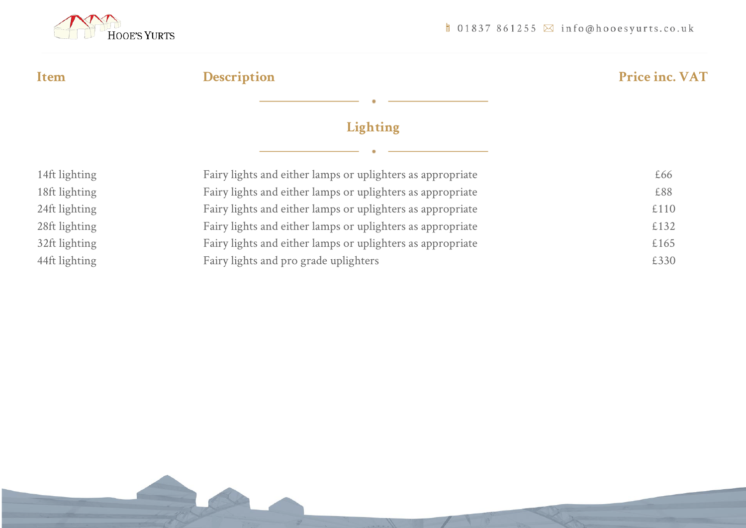

**Item Description Price inc. VAT**

## **Lighting**

| 14ft lighting | Fairy lights and either lamps or uplighters as appropriate | £66  |
|---------------|------------------------------------------------------------|------|
| 18ft lighting | Fairy lights and either lamps or uplighters as appropriate | £88  |
| 24ft lighting | Fairy lights and either lamps or uplighters as appropriate | £110 |
| 28ft lighting | Fairy lights and either lamps or uplighters as appropriate | £132 |
| 32ft lighting | Fairy lights and either lamps or uplighters as appropriate | £165 |
| 44ft lighting | Fairy lights and pro grade uplighters                      | £330 |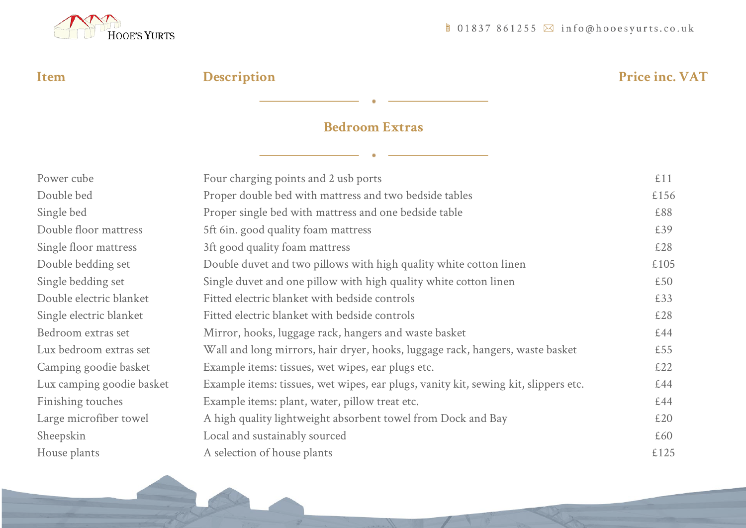

# **Item Description Price inc. VAT**

## **Bedroom Extras**

| Power cube                | Four charging points and 2 usb ports                                                | £11  |
|---------------------------|-------------------------------------------------------------------------------------|------|
| Double bed                | Proper double bed with mattress and two bedside tables                              | £156 |
| Single bed                | Proper single bed with mattress and one bedside table                               | £88  |
| Double floor mattress     | 5ft 6in. good quality foam mattress                                                 | £39  |
| Single floor mattress     | 3ft good quality foam mattress                                                      | £28  |
| Double bedding set        | Double duvet and two pillows with high quality white cotton linen                   | £105 |
| Single bedding set        | Single duvet and one pillow with high quality white cotton linen                    | £50  |
| Double electric blanket   | Fitted electric blanket with bedside controls                                       | £33  |
| Single electric blanket   | Fitted electric blanket with bedside controls                                       | £28  |
| Bedroom extras set        | Mirror, hooks, luggage rack, hangers and waste basket                               | £44  |
| Lux bedroom extras set    | Wall and long mirrors, hair dryer, hooks, luggage rack, hangers, waste basket       | £55  |
| Camping goodie basket     | Example items: tissues, wet wipes, ear plugs etc.                                   | £22  |
| Lux camping goodie basket | Example items: tissues, wet wipes, ear plugs, vanity kit, sewing kit, slippers etc. | £44  |
| Finishing touches         | Example items: plant, water, pillow treat etc.                                      | £44  |
| Large microfiber towel    | A high quality lightweight absorbent towel from Dock and Bay                        | £20  |
| Sheepskin                 | Local and sustainably sourced                                                       | £60  |
| House plants              | A selection of house plants                                                         | £125 |
|                           |                                                                                     |      |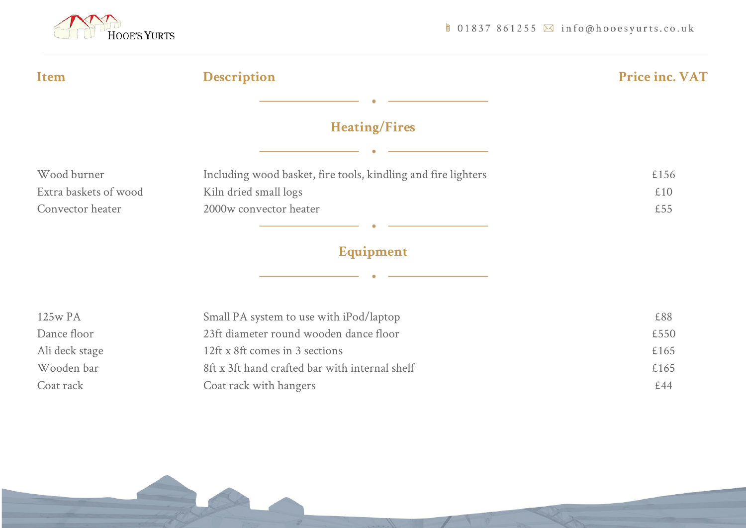

| Item                  | <b>Description</b>                                            | Price inc. VAT |  |  |
|-----------------------|---------------------------------------------------------------|----------------|--|--|
|                       |                                                               |                |  |  |
|                       | <b>Heating/Fires</b>                                          |                |  |  |
|                       |                                                               |                |  |  |
| Wood burner           | Including wood basket, fire tools, kindling and fire lighters | £156           |  |  |
| Extra baskets of wood | Kiln dried small logs                                         | £10            |  |  |
| Convector heater      | 2000w convector heater                                        | £55            |  |  |
|                       |                                                               |                |  |  |
| Equipment             |                                                               |                |  |  |
|                       |                                                               |                |  |  |
| 125w PA               | Small PA system to use with iPod/laptop                       | £88            |  |  |
| Dance floor           | 23ft diameter round wooden dance floor                        | £550           |  |  |
| Ali deck stage        | 12ft x 8ft comes in 3 sections                                | £165           |  |  |
| Wooden bar            | 8ft x 3ft hand crafted bar with internal shelf                | £165           |  |  |
| Coat rack             | Coat rack with hangers                                        | £44            |  |  |
|                       |                                                               |                |  |  |
|                       |                                                               |                |  |  |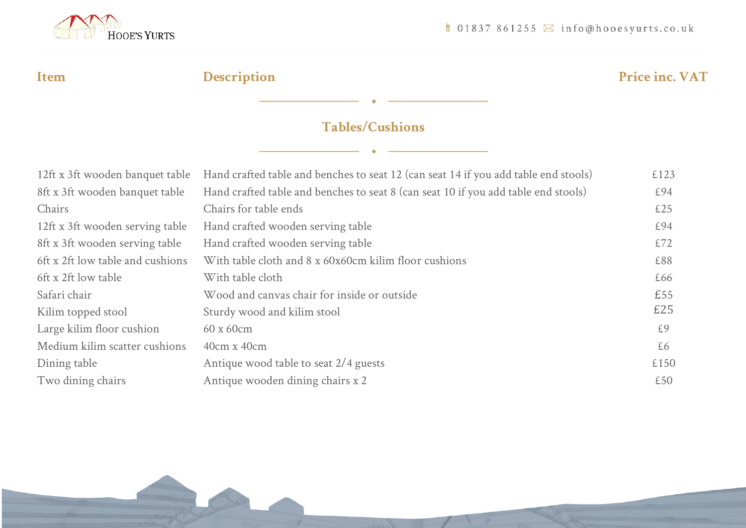

# **Item Description Price inc. VAT**

## **Tables/Cushions**

| 12ft x 3ft wooden banquet table  | Hand crafted table and benches to seat 12 (can seat 14 if you add table end stools) |      |
|----------------------------------|-------------------------------------------------------------------------------------|------|
| 8ft x 3ft wooden banquet table   | Hand crafted table and benches to seat 8 (can seat 10 if you add table end stools)  | £94  |
| Chairs                           | Chairs for table ends                                                               | £25  |
| 12ft x 3ft wooden serving table  | Hand crafted wooden serving table                                                   | £94  |
| 8ft x 3ft wooden serving table   | Hand crafted wooden serving table                                                   | £72  |
| 6ft x 2ft low table and cushions | With table cloth and 8 x 60x60cm kilim floor cushions                               | £88  |
| 6ft x 2ft low table              | With table cloth                                                                    | £66  |
| Safari chair                     | Wood and canvas chair for inside or outside                                         | £55  |
| Kilim topped stool               | Sturdy wood and kilim stool                                                         | £25  |
| Large kilim floor cushion        | 60 x 60cm                                                                           | £9   |
| Medium kilim scatter cushions    | $40cm \times 40cm$                                                                  | £6   |
| Dining table                     | Antique wood table to seat 2/4 guests                                               | £150 |
| Two dining chairs                | Antique wooden dining chairs x 2                                                    | £50  |